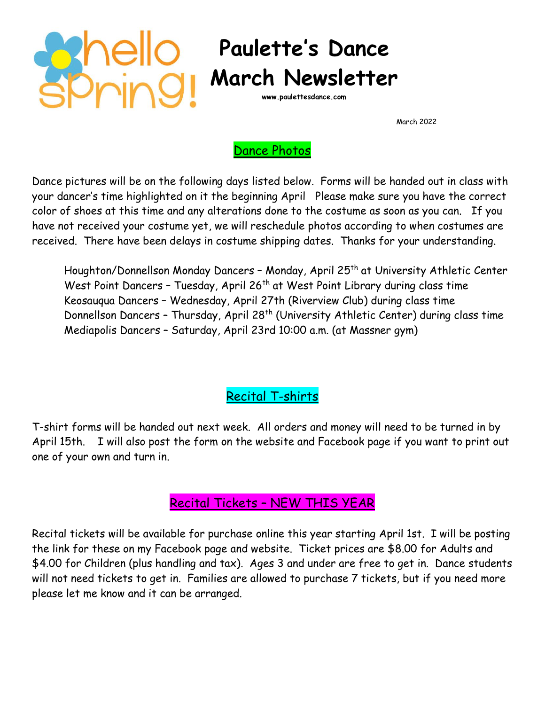

## **Paulette's Dance March Newsletter**

**www.paulettesdance.com**

March 2022

## Dance Photos

Dance pictures will be on the following days listed below. Forms will be handed out in class with your dancer's time highlighted on it the beginning April Please make sure you have the correct color of shoes at this time and any alterations done to the costume as soon as you can. If you have not received your costume yet, we will reschedule photos according to when costumes are received. There have been delays in costume shipping dates. Thanks for your understanding.

Houghton/Donnellson Monday Dancers - Monday, April 25<sup>th</sup> at University Athletic Center West Point Dancers - Tuesday, April 26<sup>th</sup> at West Point Library during class time Keosauqua Dancers – Wednesday, April 27th (Riverview Club) during class time Donnellson Dancers - Thursday, April 28<sup>th</sup> (University Athletic Center) during class time Mediapolis Dancers – Saturday, April 23rd 10:00 a.m. (at Massner gym)

Recital T-shirts

T-shirt forms will be handed out next week. All orders and money will need to be turned in by April 15th. I will also post the form on the website and Facebook page if you want to print out one of your own and turn in.

## Recital Tickets – NEW THIS YEAR

Recital tickets will be available for purchase online this year starting April 1st. I will be posting the link for these on my Facebook page and website. Ticket prices are \$8.00 for Adults and \$4.00 for Children (plus handling and tax). Ages 3 and under are free to get in. Dance students will not need tickets to get in. Families are allowed to purchase 7 tickets, but if you need more please let me know and it can be arranged.